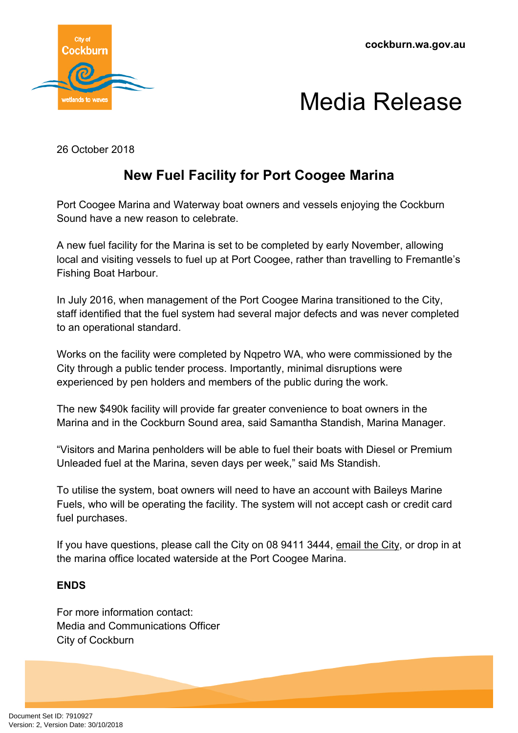

## Media Release

26 October 2018

## **New Fuel Facility for Port Coogee Marina**

Port Coogee Marina and Waterway boat owners and vessels enjoying the Cockburn Sound have a new reason to celebrate.

A new fuel facility for the Marina is set to be completed by early November, allowing local and visiting vessels to fuel up at Port Coogee, rather than travelling to Fremantle's Fishing Boat Harbour.

In July 2016, when management of the Port Coogee Marina transitioned to the City, staff identified that the fuel system had several major defects and was never completed to an operational standard.

Works on the facility were completed by Nqpetro WA, who were commissioned by the City through a public tender process. Importantly, minimal disruptions were experienced by pen holders and members of the public during the work.

The new \$490k facility will provide far greater convenience to boat owners in the Marina and in the Cockburn Sound area, said Samantha Standish, Marina Manager.

"Visitors and Marina penholders will be able to fuel their boats with Diesel or Premium Unleaded fuel at the Marina, seven days per week," said Ms Standish.

To utilise the system, boat owners will need to have an account with Baileys Marine Fuels, who will be operating the facility. The system will not accept cash or credit card fuel purchases.

If you have questions, please call the City on 08 9411 3444, [email](https://www.cockburn.wa.gov.au/contact) the City, or drop in at the marina office located waterside at the Port Coogee Marina.

## **ENDS**

For more information contact: Media and Communications Officer City of Cockburn